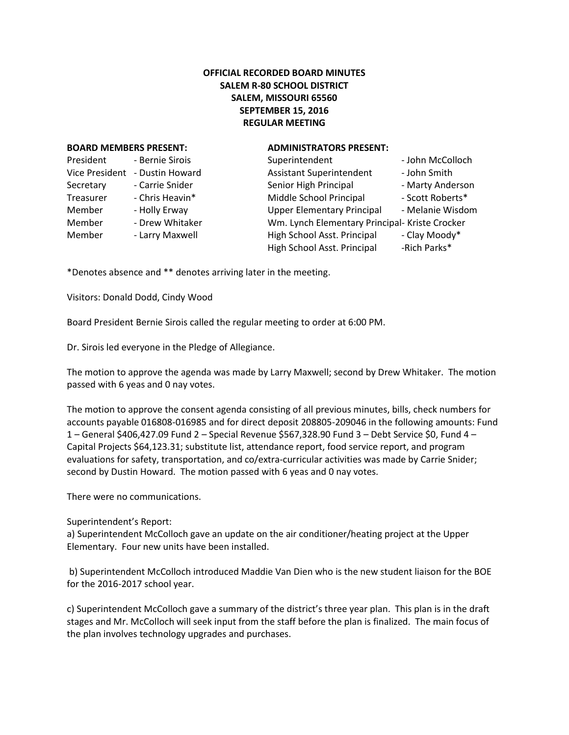## **OFFICIAL RECORDED BOARD MINUTES SALEM R-80 SCHOOL DISTRICT SALEM, MISSOURI 65560 SEPTEMBER 15, 2016 REGULAR MEETING**

## **BOARD MEMBERS PRESENT: ADMINISTRATORS PRESENT:**

| President             | - Bernie Sirois |
|-----------------------|-----------------|
| <b>Vice President</b> | - Dustin Howard |
| Secretary             | - Carrie Snider |
| Treasurer             | - Chris Heavin* |
| Member                | - Holly Erway   |
| Member                | - Drew Whitaker |
| Member                | - Larry Maxwell |
|                       |                 |

| President      | - Bernie Sirois | Superintendent                                 | - John McColloch |
|----------------|-----------------|------------------------------------------------|------------------|
| Vice President | - Dustin Howard | <b>Assistant Superintendent</b>                | - John Smith     |
| Secretary      | - Carrie Snider | Senior High Principal                          | - Marty Anderson |
| Treasurer      | - Chris Heavin* | Middle School Principal                        | - Scott Roberts* |
| Member         | - Holly Erway   | <b>Upper Elementary Principal</b>              | - Melanie Wisdom |
| Member         | - Drew Whitaker | Wm. Lynch Elementary Principal- Kriste Crocker |                  |
| Member         | - Larry Maxwell | High School Asst. Principal                    | - Clay Moody*    |
|                |                 | High School Asst. Principal                    | -Rich Parks*     |
|                |                 |                                                |                  |

\*Denotes absence and \*\* denotes arriving later in the meeting.

Visitors: Donald Dodd, Cindy Wood

Board President Bernie Sirois called the regular meeting to order at 6:00 PM.

Dr. Sirois led everyone in the Pledge of Allegiance.

The motion to approve the agenda was made by Larry Maxwell; second by Drew Whitaker. The motion passed with 6 yeas and 0 nay votes.

The motion to approve the consent agenda consisting of all previous minutes, bills, check numbers for accounts payable 016808-016985 and for direct deposit 208805-209046 in the following amounts: Fund 1 – General \$406,427.09 Fund 2 – Special Revenue \$567,328.90 Fund 3 – Debt Service \$0, Fund 4 – Capital Projects \$64,123.31; substitute list, attendance report, food service report, and program evaluations for safety, transportation, and co/extra-curricular activities was made by Carrie Snider; second by Dustin Howard. The motion passed with 6 yeas and 0 nay votes.

There were no communications.

## Superintendent's Report:

a) Superintendent McColloch gave an update on the air conditioner/heating project at the Upper Elementary. Four new units have been installed.

b) Superintendent McColloch introduced Maddie Van Dien who is the new student liaison for the BOE for the 2016-2017 school year.

c) Superintendent McColloch gave a summary of the district's three year plan. This plan is in the draft stages and Mr. McColloch will seek input from the staff before the plan is finalized. The main focus of the plan involves technology upgrades and purchases.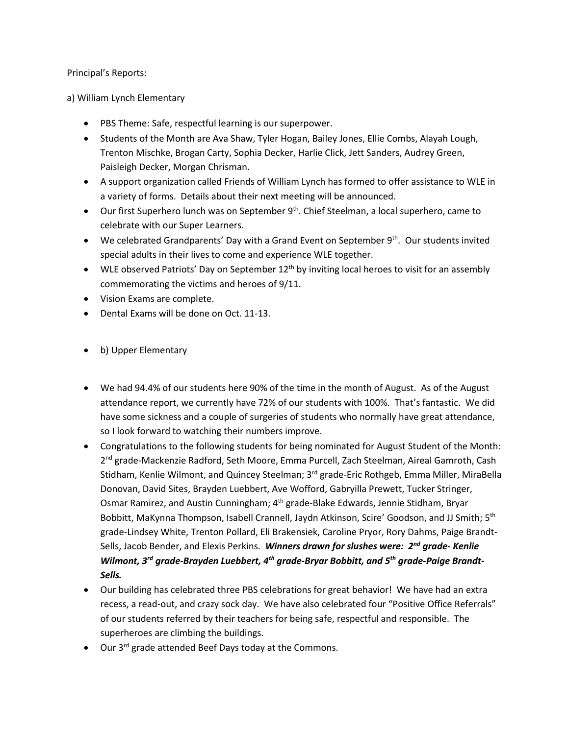Principal's Reports:

a) William Lynch Elementary

- PBS Theme: Safe, respectful learning is our superpower.
- Students of the Month are Ava Shaw, Tyler Hogan, Bailey Jones, Ellie Combs, Alayah Lough, Trenton Mischke, Brogan Carty, Sophia Decker, Harlie Click, Jett Sanders, Audrey Green, Paisleigh Decker, Morgan Chrisman.
- A support organization called Friends of William Lynch has formed to offer assistance to WLE in a variety of forms. Details about their next meeting will be announced.
- $\bullet$  Our first Superhero lunch was on September 9<sup>th</sup>. Chief Steelman, a local superhero, came to celebrate with our Super Learners.
- $\bullet$  We celebrated Grandparents' Day with a Grand Event on September 9<sup>th</sup>. Our students invited special adults in their lives to come and experience WLE together.
- $\bullet$  WLE observed Patriots' Day on September 12<sup>th</sup> by inviting local heroes to visit for an assembly commemorating the victims and heroes of 9/11.
- Vision Exams are complete.
- Dental Exams will be done on Oct. 11-13.
- b) Upper Elementary
- We had 94.4% of our students here 90% of the time in the month of August. As of the August attendance report, we currently have 72% of our students with 100%. That's fantastic. We did have some sickness and a couple of surgeries of students who normally have great attendance, so I look forward to watching their numbers improve.
- Congratulations to the following students for being nominated for August Student of the Month: 2<sup>nd</sup> grade-Mackenzie Radford, Seth Moore, Emma Purcell, Zach Steelman, Aireal Gamroth, Cash Stidham, Kenlie Wilmont, and Quincey Steelman; 3<sup>rd</sup> grade-Eric Rothgeb, Emma Miller, MiraBella Donovan, David Sites, Brayden Luebbert, Ave Wofford, Gabryilla Prewett, Tucker Stringer, Osmar Ramirez, and Austin Cunningham; 4<sup>th</sup> grade-Blake Edwards, Jennie Stidham, Bryar Bobbitt, MaKynna Thompson, Isabell Crannell, Jaydn Atkinson, Scire' Goodson, and JJ Smith; 5<sup>th</sup> grade-Lindsey White, Trenton Pollard, Eli Brakensiek, Caroline Pryor, Rory Dahms, Paige Brandt-Sells, Jacob Bender, and Elexis Perkins. *Winners drawn for slushes were: 2nd grade- Kenlie Wilmont, 3rd grade-Brayden Luebbert, 4th grade-Bryar Bobbitt, and 5th grade-Paige Brandt-Sells.*
- Our building has celebrated three PBS celebrations for great behavior! We have had an extra recess, a read-out, and crazy sock day. We have also celebrated four "Positive Office Referrals" of our students referred by their teachers for being safe, respectful and responsible. The superheroes are climbing the buildings.
- Our 3<sup>rd</sup> grade attended Beef Days today at the Commons.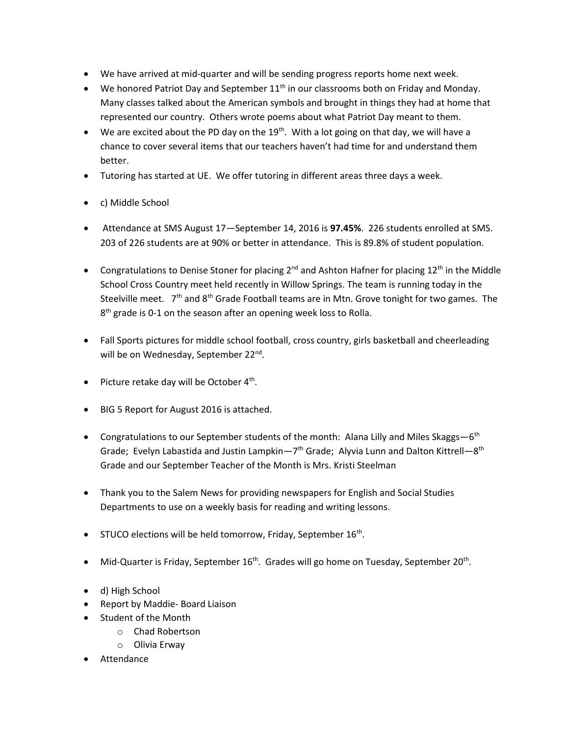- We have arrived at mid-quarter and will be sending progress reports home next week.
- $\bullet$  We honored Patriot Day and September 11<sup>th</sup> in our classrooms both on Friday and Monday. Many classes talked about the American symbols and brought in things they had at home that represented our country. Others wrote poems about what Patriot Day meant to them.
- $\bullet$  We are excited about the PD day on the 19<sup>th</sup>. With a lot going on that day, we will have a chance to cover several items that our teachers haven't had time for and understand them better.
- Tutoring has started at UE. We offer tutoring in different areas three days a week.
- c) Middle School
- Attendance at SMS August 17—September 14, 2016 is **97.45%**. 226 students enrolled at SMS. 203 of 226 students are at 90% or better in attendance. This is 89.8% of student population.
- Congratulations to Denise Stoner for placing  $2^{nd}$  and Ashton Hafner for placing  $12^{th}$  in the Middle School Cross Country meet held recently in Willow Springs. The team is running today in the Steelville meet.  $7<sup>th</sup>$  and  $8<sup>th</sup>$  Grade Football teams are in Mtn. Grove tonight for two games. The 8<sup>th</sup> grade is 0-1 on the season after an opening week loss to Rolla.
- Fall Sports pictures for middle school football, cross country, girls basketball and cheerleading will be on Wednesday, September 22<sup>nd</sup>.
- Picture retake day will be October 4<sup>th</sup>.
- BIG 5 Report for August 2016 is attached.
- Congratulations to our September students of the month: Alana Lilly and Miles Skaggs—6<sup>th</sup> Grade; Evelyn Labastida and Justin Lampkin—7<sup>th</sup> Grade; Alyvia Lunn and Dalton Kittrell—8<sup>th</sup> Grade and our September Teacher of the Month is Mrs. Kristi Steelman
- Thank you to the Salem News for providing newspapers for English and Social Studies Departments to use on a weekly basis for reading and writing lessons.
- STUCO elections will be held tomorrow, Friday, September  $16<sup>th</sup>$ .
- $\bullet$  Mid-Quarter is Friday, September 16<sup>th</sup>. Grades will go home on Tuesday, September 20<sup>th</sup>.
- d) High School
- Report by Maddie- Board Liaison
- Student of the Month
	- o Chad Robertson
	- o Olivia Erway
- Attendance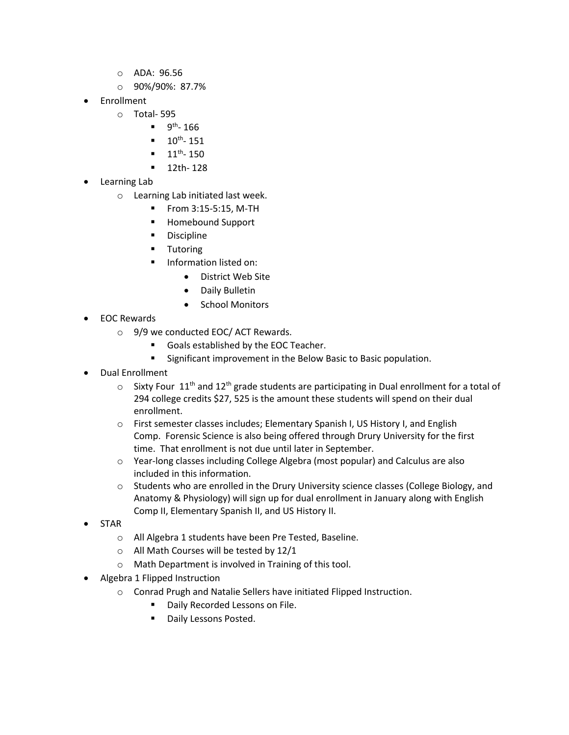- o ADA: 96.56
- o 90%/90%: 87.7%
- Enrollment
	- o Total- 595
		- $\blacksquare$  9<sup>th</sup>-166
		- $10^{th} 151$
		- $-11^{th} 150$
		- **12th-128**
- Learning Lab
	- o Learning Lab initiated last week.
		- From 3:15-5:15, M-TH
		- Homebound Support
		- **Discipline**
		- **Tutoring**
		- Information listed on:
			- District Web Site
			- Daily Bulletin
			- School Monitors
- EOC Rewards
	- o 9/9 we conducted EOC/ ACT Rewards.
		- Goals established by the EOC Teacher.
		- **Significant improvement in the Below Basic to Basic population.**
- Dual Enrollment
	- $\circ$  Sixty Four 11<sup>th</sup> and 12<sup>th</sup> grade students are participating in Dual enrollment for a total of 294 college credits \$27, 525 is the amount these students will spend on their dual enrollment.
	- o First semester classes includes; Elementary Spanish I, US History I, and English Comp. Forensic Science is also being offered through Drury University for the first time. That enrollment is not due until later in September.
	- o Year-long classes including College Algebra (most popular) and Calculus are also included in this information.
	- $\circ$  Students who are enrolled in the Drury University science classes (College Biology, and Anatomy & Physiology) will sign up for dual enrollment in January along with English Comp II, Elementary Spanish II, and US History II.
- STAR
	- o All Algebra 1 students have been Pre Tested, Baseline.
	- o All Math Courses will be tested by 12/1
	- o Math Department is involved in Training of this tool.
- Algebra 1 Flipped Instruction
	- o Conrad Prugh and Natalie Sellers have initiated Flipped Instruction.
		- **Daily Recorded Lessons on File.**
		- **Daily Lessons Posted.**